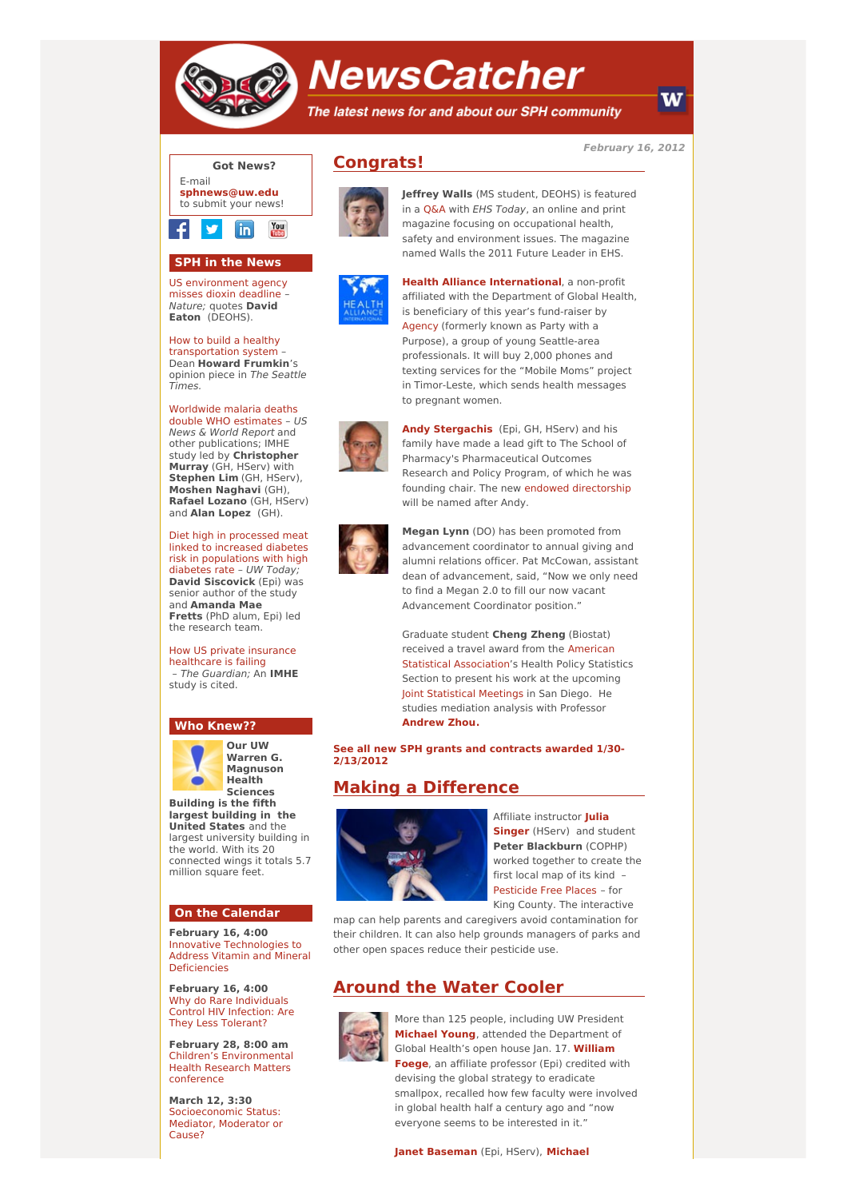# **NewsCatcher**

The latest news for and about our SPH community

**February 16, 2012**



**SPH in the News**

in

US [environment](http://engage.washington.edu/site/R?i=AGX-k84XWCb_ByxXICmwgg) agency misses dioxin deadline – Nature; quotes **David Eaton** (DEOHS).

How to build a healthy [transportation](http://engage.washington.edu/site/R?i=vht0rxDgDo7XbvX0Bka8mw) system – Dean **Howard Frumkin**'s opinion piece in The Seattle Times.

[Worldwide](http://engage.washington.edu/site/R?i=LOzFd5G4ih5kqjGSTHv60g) malaria deaths double WHO estimates – US News & World Report and other publications; IMHE study led by **Christopher Murray** (GH, HServ) with **Stephen Lim** (GH, HServ), **Moshen Naghavi** (GH), **Rafael Lozano** (GH, HServ) and **Alan Lopez** (GH).

Diet high in processed meat linked to increased diabetes risk in [populations](http://engage.washington.edu/site/R?i=n5p-XOdi_Y7LgXOKYVxJSg) with high diabetes rate – UW Today; **David Siscovick** (Epi) was senior author of the study and **Amanda Mae Fretts** (PhD alum, Epi) led the research team.

How US private insurance [healthcare](http://engage.washington.edu/site/R?i=XfNt1RvpConpx0mViVhb5A) is failing – The Guardian; An **IMHE** study is cited.

### **Who Knew??**



**Our UW Warren G. Magnuson Health Sciences Building is the fifth**

**largest building in the United States** and the largest university building in the world. With its 20 connected wings it totals 5.7 million square feet.

#### **On the Calendar**

**February 16, 4:00** Innovative [Technologies](http://engage.washington.edu/site/R?i=3p0vTs9MxhuBHm1QekWY4g) to Address Vitamin and Mineral **Deficiencies** 

**February 16, 4:00** Why do Rare [Individuals](http://engage.washington.edu/site/R?i=xB2IzIow4Yy4nvddCRbRTg) Control HIV Infection: Are They Less Tolerant?

**February 28, 8:00 am** Children's [Environmental](http://engage.washington.edu/site/R?i=Ay-1wjCFdO1xo4ep_Aq7XQ) Health Research Matters conference

**March 12, 3:30** [Socioeconomic](http://engage.washington.edu/site/R?i=GhFOoXXic9u-N2EkVf3NjQ) Status: Mediator, Moderator or Cause?

# **Congrats!**





**Jeffrey Walls** (MS student, DEOHS) is featured in a [Q&A](http://engage.washington.edu/site/R?i=cPSzFeL6CppkezVIoBPB3A) with EHS Today, an online and print magazine focusing on occupational health, safety and environment issues. The magazine named Walls the 2011 Future Leader in EHS.

**Health Alliance [International](http://engage.washington.edu/site/R?i=Wepr_LXAT3J7GGJ6orfKcA)**, a non-profit affiliated with the Department of Global Health, is beneficiary of this year's fund-raiser by [Agency](http://engage.washington.edu/site/R?i=sK-J2rZTUJ8aVxJ6EHHRDw) (formerly known as Party with a Purpose), a group of young Seattle-area professionals. It will buy 2,000 phones and texting services for the "Mobile Moms" project in Timor-Leste, which sends health messages to pregnant women.



**Andy [Stergachis](http://engage.washington.edu/site/R?i=okc6hrpqAOXaAmj1b81axg)** (Epi, GH, HServ) and his family have made a lead gift to The School of Pharmacy's Pharmaceutical Outcomes Research and Policy Program, of which he was founding chair. The new endowed [directorship](http://engage.washington.edu/site/R?i=j9IvxnT_aYovg4m8hXJiNQ) will be named after Andy.



**Megan Lynn** (DO) has been promoted from advancement coordinator to annual giving and alumni relations officer. Pat McCowan, assistant dean of advancement, said, "Now we only need to find a Megan 2.0 to fill our now vacant Advancement Coordinator position."

Graduate student **Cheng Zheng** (Biostat) received a travel award from the American Statistical [Association's](http://engage.washington.edu/site/R?i=N6ctSWRV_Ve7sI6E2JONVg) Health Policy Statistics Section to present his work at the upcoming Joint [Statistical](http://engage.washington.edu/site/R?i=MYtMtC2L44wMgNhN-Z44Xg) Meetings in San Diego. He studies mediation analysis with Professor **[Andrew](http://engage.washington.edu/site/R?i=QIk8CNQ_0IanBWJrt5H_kw) Zhou.**

**See all new SPH grants and contracts awarded 1/30- [2/13/2012](http://engage.washington.edu/site/R?i=fyH4W1xoJFl4maXaI8huJA)**

## **Making a Difference**



Affiliate [instructor](http://engage.washington.edu/site/R?i=Ha4_PQiLUrQOBFRnjq8CYQ) **Julia Singer** (HServ) and student **Peter Blackburn** (COPHP) worked together to create the first local map of its kind – [Pesticide](http://engage.washington.edu/site/R?i=-TYHyEax_ALZUzlMaq8MZQ) Free Places – for King County. The interactive

map can help parents and caregivers avoid contamination for their children. It can also help grounds managers of parks and other open spaces reduce their pesticide use.

## **Around the Water Cooler**



More than 125 people, including UW President **[Michael](http://engage.washington.edu/site/R?i=N4GVkvL7cCU9jio2CrGujg) Young**, attended the Department of Global [Health's](http://engage.washington.edu/site/R?i=GmQkUIIYmrEgr5oBRJTTDw) open house Jan. 17. **William Foege**, an affiliate professor (Epi) credited with devising the global strategy to eradicate smallpox, recalled how few faculty were involved in global health half a century ago and "now everyone seems to be interested in it."

**Janet [Baseman](http://engage.washington.edu/site/R?i=MZLaz_5flTn6qRAEVBX9Vg)** (Epi, HServ), **Michael**

W